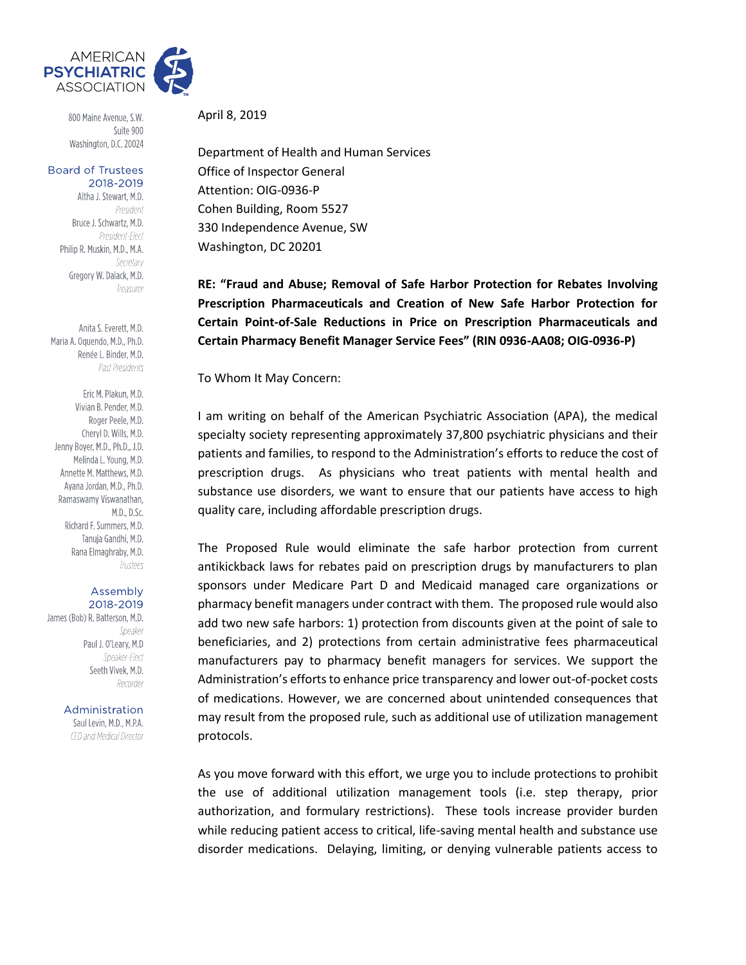

800 Maine Avenue, S.W. Suite 900 Washington, D.C. 20024

**Board of Trustees** 2018-2019

> Altha J. Stewart, M.D. President Bruce J. Schwartz, M.D. President-Elect Philip R. Muskin, M.D., M.A. Secretary Gregory W. Dalack, M.D. Treasurer

Anita S. Everett, M.D. Maria A. Oquendo, M.D., Ph.D. Renée L. Binder, M.D. Past Presidents

Eric M. Plakun, M.D. Vivian B. Pender, M.D. Roger Peele, M.D. Cheryl D. Wills, M.D. Jenny Boyer, M.D., Ph.D., J.D. Melinda L. Young, M.D. Annette M. Matthews, M.D. Avana Jordan, M.D., Ph.D. Ramaswamy Viswanathan, M.D., D.Sc. Richard F. Summers, M.D. Tanuja Gandhi, M.D. Rana Elmaghraby, M.D. Trustees

## Assembly 2018-2019

James (Bob) R. Batterson, M.D. Speaker Paul J. O'Leary, M.D Speaker-Flect Seeth Vivek, M.D. Recorder

> Administration Saul Levin, M.D., M.P.A. CEO and Medical Director

April 8, 2019

Department of Health and Human Services Office of Inspector General Attention: OIG-0936-P Cohen Building, Room 5527 330 Independence Avenue, SW Washington, DC 20201

**RE: "Fraud and Abuse; Removal of Safe Harbor Protection for Rebates Involving Prescription Pharmaceuticals and Creation of New Safe Harbor Protection for Certain Point-of-Sale Reductions in Price on Prescription Pharmaceuticals and Certain Pharmacy Benefit Manager Service Fees" (RIN 0936-AA08; OIG-0936-P)**

To Whom It May Concern:

I am writing on behalf of the American Psychiatric Association (APA), the medical specialty society representing approximately 37,800 psychiatric physicians and their patients and families, to respond to the Administration's efforts to reduce the cost of prescription drugs. As physicians who treat patients with mental health and substance use disorders, we want to ensure that our patients have access to high quality care, including affordable prescription drugs.

The Proposed Rule would eliminate the safe harbor protection from current antikickback laws for rebates paid on prescription drugs by manufacturers to plan sponsors under Medicare Part D and Medicaid managed care organizations or pharmacy benefit managers under contract with them. The proposed rule would also add two new safe harbors: 1) protection from discounts given at the point of sale to beneficiaries, and 2) protections from certain administrative fees pharmaceutical manufacturers pay to pharmacy benefit managers for services. We support the Administration's efforts to enhance price transparency and lower out-of-pocket costs of medications. However, we are concerned about unintended consequences that may result from the proposed rule, such as additional use of utilization management protocols.

As you move forward with this effort, we urge you to include protections to prohibit the use of additional utilization management tools (i.e. step therapy, prior authorization, and formulary restrictions). These tools increase provider burden while reducing patient access to critical, life-saving mental health and substance use disorder medications. Delaying, limiting, or denying vulnerable patients access to